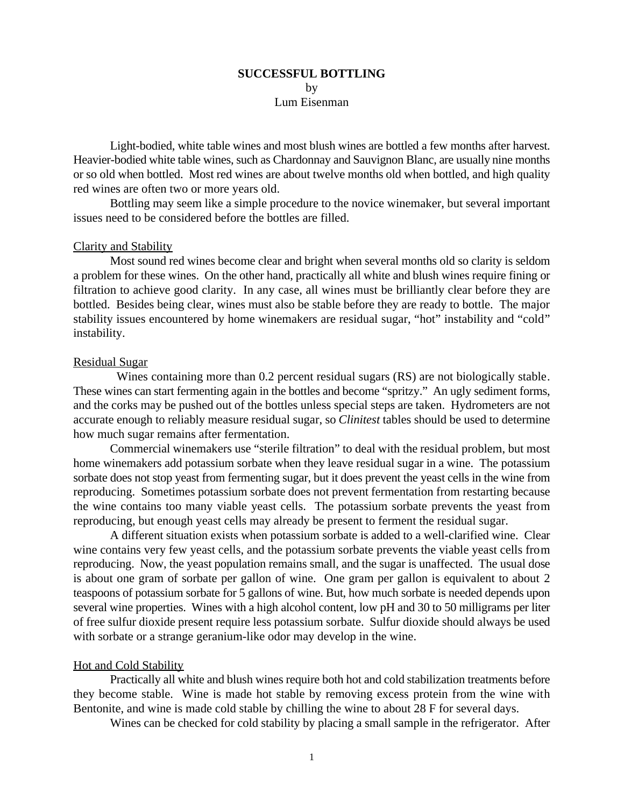## **SUCCESSFUL BOTTLING** by Lum Eisenman

Light-bodied, white table wines and most blush wines are bottled a few months after harvest. Heavier-bodied white table wines, such as Chardonnay and Sauvignon Blanc, are usually nine months or so old when bottled. Most red wines are about twelve months old when bottled, and high quality red wines are often two or more years old.

Bottling may seem like a simple procedure to the novice winemaker, but several important issues need to be considered before the bottles are filled.

# Clarity and Stability

Most sound red wines become clear and bright when several months old so clarity is seldom a problem for these wines. On the other hand, practically all white and blush wines require fining or filtration to achieve good clarity. In any case, all wines must be brilliantly clear before they are bottled. Besides being clear, wines must also be stable before they are ready to bottle. The major stability issues encountered by home winemakers are residual sugar, "hot" instability and "cold" instability.

#### Residual Sugar

 Wines containing more than 0.2 percent residual sugars (RS) are not biologically stable. These wines can start fermenting again in the bottles and become "spritzy." An ugly sediment forms, and the corks may be pushed out of the bottles unless special steps are taken. Hydrometers are not accurate enough to reliably measure residual sugar, so *Clinitest* tables should be used to determine how much sugar remains after fermentation.

Commercial winemakers use "sterile filtration" to deal with the residual problem, but most home winemakers add potassium sorbate when they leave residual sugar in a wine. The potassium sorbate does not stop yeast from fermenting sugar, but it does prevent the yeast cells in the wine from reproducing. Sometimes potassium sorbate does not prevent fermentation from restarting because the wine contains too many viable yeast cells. The potassium sorbate prevents the yeast from reproducing, but enough yeast cells may already be present to ferment the residual sugar.

A different situation exists when potassium sorbate is added to a well-clarified wine. Clear wine contains very few yeast cells, and the potassium sorbate prevents the viable yeast cells from reproducing. Now, the yeast population remains small, and the sugar is unaffected. The usual dose is about one gram of sorbate per gallon of wine. One gram per gallon is equivalent to about 2 teaspoons of potassium sorbate for 5 gallons of wine. But, how much sorbate is needed depends upon several wine properties. Wines with a high alcohol content, low pH and 30 to 50 milligrams per liter of free sulfur dioxide present require less potassium sorbate. Sulfur dioxide should always be used with sorbate or a strange geranium-like odor may develop in the wine.

#### Hot and Cold Stability

 Practically all white and blush wines require both hot and cold stabilization treatments before they become stable. Wine is made hot stable by removing excess protein from the wine with Bentonite, and wine is made cold stable by chilling the wine to about 28 F for several days.

Wines can be checked for cold stability by placing a small sample in the refrigerator. After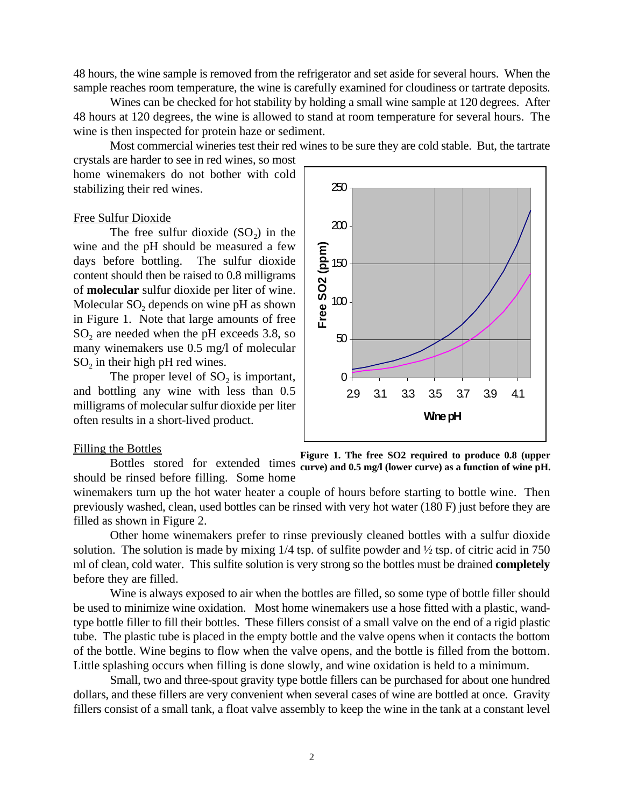48 hours, the wine sample is removed from the refrigerator and set aside for several hours. When the sample reaches room temperature, the wine is carefully examined for cloudiness or tartrate deposits.

 Wines can be checked for hot stability by holding a small wine sample at 120 degrees. After 48 hours at 120 degrees, the wine is allowed to stand at room temperature for several hours. The wine is then inspected for protein haze or sediment.

Most commercial wineries test their red wines to be sure they are cold stable. But, the tartrate

crystals are harder to see in red wines, so most home winemakers do not bother with cold stabilizing their red wines.

#### Free Sulfur Dioxide

The free sulfur dioxide  $(SO<sub>2</sub>)$  in the wine and the pH should be measured a few days before bottling. The sulfur dioxide content should then be raised to 0.8 milligrams of **molecular** sulfur dioxide per liter of wine. Molecular  $SO<sub>2</sub>$  depends on wine pH as shown in Figure 1. Note that large amounts of free  $SO<sub>2</sub>$  are needed when the pH exceeds 3.8, so many winemakers use 0.5 mg/l of molecular  $SO<sub>2</sub>$  in their high pH red wines.

The proper level of  $SO<sub>2</sub>$  is important, and bottling any wine with less than 0.5 milligrams of molecular sulfur dioxide per liter often results in a short-lived product.

## Filling the Bottles



**Figure 1. The free SO2 required to produce 0.8 (upper** Bottles stored for extended times curve) and 0.5 mg/l (lower curve) as a function of wine pH. should be rinsed before filling. Some home

winemakers turn up the hot water heater a couple of hours before starting to bottle wine. Then previously washed, clean, used bottles can be rinsed with very hot water (180 F) just before they are filled as shown in Figure 2.

Other home winemakers prefer to rinse previously cleaned bottles with a sulfur dioxide solution. The solution is made by mixing 1/4 tsp. of sulfite powder and ½ tsp. of citric acid in 750 ml of clean, cold water. This sulfite solution is very strong so the bottles must be drained **completely** before they are filled.

Wine is always exposed to air when the bottles are filled, so some type of bottle filler should be used to minimize wine oxidation. Most home winemakers use a hose fitted with a plastic, wandtype bottle filler to fill their bottles. These fillers consist of a small valve on the end of a rigid plastic tube. The plastic tube is placed in the empty bottle and the valve opens when it contacts the bottom of the bottle. Wine begins to flow when the valve opens, and the bottle is filled from the bottom. Little splashing occurs when filling is done slowly, and wine oxidation is held to a minimum.

 Small, two and three-spout gravity type bottle fillers can be purchased for about one hundred dollars, and these fillers are very convenient when several cases of wine are bottled at once. Gravity fillers consist of a small tank, a float valve assembly to keep the wine in the tank at a constant level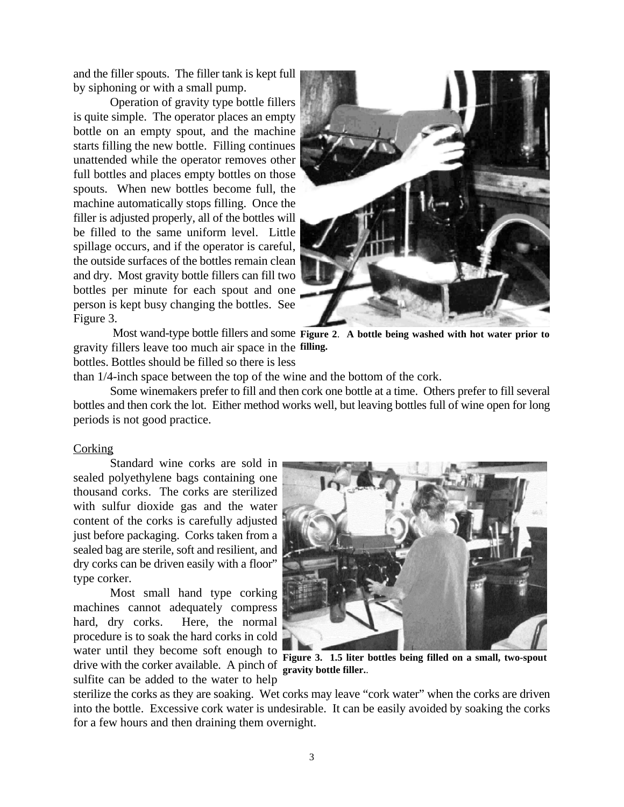and the filler spouts. The filler tank is kept full by siphoning or with a small pump.

Operation of gravity type bottle fillers is quite simple. The operator places an empty bottle on an empty spout, and the machine starts filling the new bottle. Filling continues unattended while the operator removes other full bottles and places empty bottles on those spouts. When new bottles become full, the machine automatically stops filling. Once the filler is adjusted properly, all of the bottles will be filled to the same uniform level. Little spillage occurs, and if the operator is careful, the outside surfaces of the bottles remain clean and dry. Most gravity bottle fillers can fill two bottles per minute for each spout and one person is kept busy changing the bottles. See Figure 3.



Most wand-type bottle fillers and some Figure 2. A bottle being washed with hot water prior to gravity fillers leave too much air space in the filling. bottles. Bottles should be filled so there is less

than 1/4-inch space between the top of the wine and the bottom of the cork.

Some winemakers prefer to fill and then cork one bottle at a time. Others prefer to fill several bottles and then cork the lot. Either method works well, but leaving bottles full of wine open for long periods is not good practice.

## **Corking**

Standard wine corks are sold in sealed polyethylene bags containing one thousand corks. The corks are sterilized with sulfur dioxide gas and the water content of the corks is carefully adjusted just before packaging. Corks taken from a sealed bag are sterile, soft and resilient, and dry corks can be driven easily with a floor" type corker.

Most small hand type corking machines cannot adequately compress hard, dry corks. Here, the normal procedure is to soak the hard corks in cold water until they become soft enough to drive with the corker available. A pinch of sulfite can be added to the water to help



**Figure 3. 1.5 liter bottles being filled on a small, two-spout gravity bottle filler.**.

sterilize the corks as they are soaking. Wet corks may leave "cork water" when the corks are driven into the bottle. Excessive cork water is undesirable. It can be easily avoided by soaking the corks for a few hours and then draining them overnight.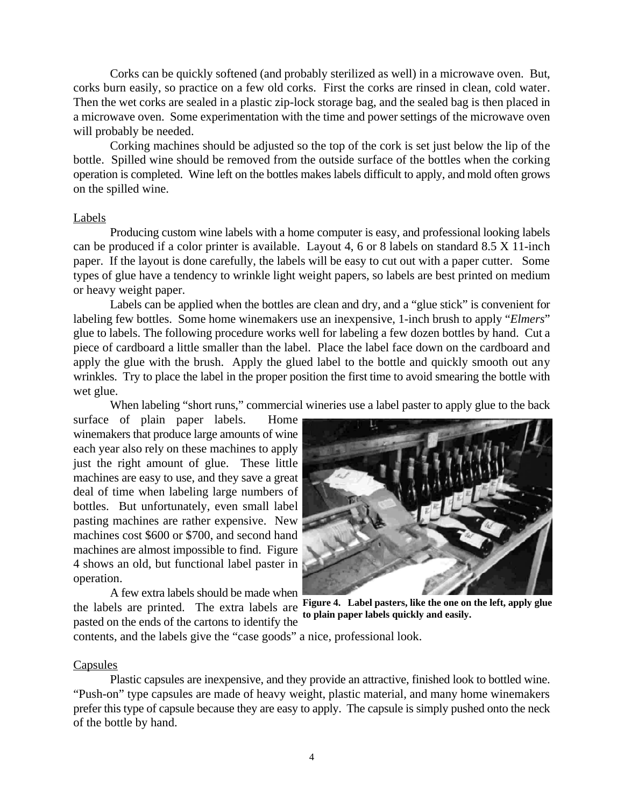Corks can be quickly softened (and probably sterilized as well) in a microwave oven. But, corks burn easily, so practice on a few old corks. First the corks are rinsed in clean, cold water. Then the wet corks are sealed in a plastic zip-lock storage bag, and the sealed bag is then placed in a microwave oven. Some experimentation with the time and power settings of the microwave oven will probably be needed.

Corking machines should be adjusted so the top of the cork is set just below the lip of the bottle. Spilled wine should be removed from the outside surface of the bottles when the corking operation is completed. Wine left on the bottles makes labels difficult to apply, and mold often grows on the spilled wine.

## Labels

Producing custom wine labels with a home computer is easy, and professional looking labels can be produced if a color printer is available. Layout 4, 6 or 8 labels on standard 8.5 X 11-inch paper. If the layout is done carefully, the labels will be easy to cut out with a paper cutter. Some types of glue have a tendency to wrinkle light weight papers, so labels are best printed on medium or heavy weight paper.

 Labels can be applied when the bottles are clean and dry, and a "glue stick" is convenient for labeling few bottles. Some home winemakers use an inexpensive, 1-inch brush to apply "*Elmers*" glue to labels. The following procedure works well for labeling a few dozen bottles by hand. Cut a piece of cardboard a little smaller than the label. Place the label face down on the cardboard and apply the glue with the brush. Apply the glued label to the bottle and quickly smooth out any wrinkles. Try to place the label in the proper position the first time to avoid smearing the bottle with wet glue.

When labeling "short runs," commercial wineries use a label paster to apply glue to the back

surface of plain paper labels. Home winemakers that produce large amounts of wine each year also rely on these machines to apply just the right amount of glue. These little machines are easy to use, and they save a great deal of time when labeling large numbers of bottles. But unfortunately, even small label pasting machines are rather expensive. New machines cost \$600 or \$700, and second hand machines are almost impossible to find. Figure 4 shows an old, but functional label paster in operation.

A few extra labels should be made when pasted on the ends of the cartons to identify the



the labels are printed. The extra labels are **Figure 4.** Label pasters, like the one on the left, apply glue **to plain paper labels quickly and easily.**

contents, and the labels give the "case goods" a nice, professional look.

## **Capsules**

Plastic capsules are inexpensive, and they provide an attractive, finished look to bottled wine. "Push-on" type capsules are made of heavy weight, plastic material, and many home winemakers prefer this type of capsule because they are easy to apply. The capsule is simply pushed onto the neck of the bottle by hand.